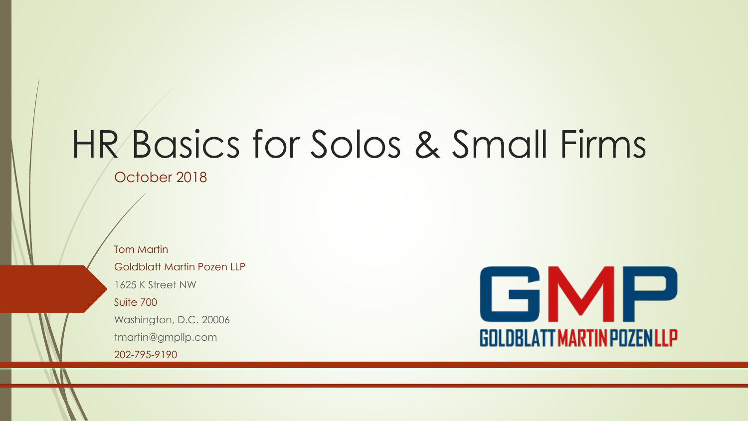# HR Basics for Solos & Small Firms

October 2018

Tom Martin Goldblatt Martin Pozen LLP 1625 K Street NW Suite 700 Washington, D.C. 20006 tmartin@gmpllp.com 202-795-9190

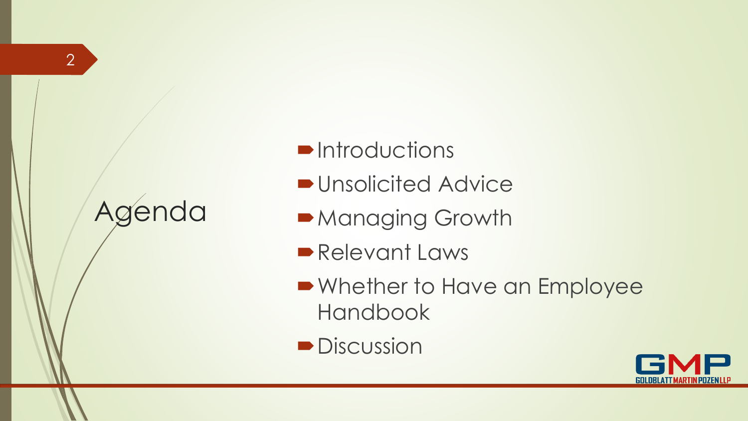#### Agenda

- **D**Introductions
- **D**Unsolicited Advice
- Managing Growth
- Relevant Laws
- Whether to Have an Employee Handbook
- **Discussion**

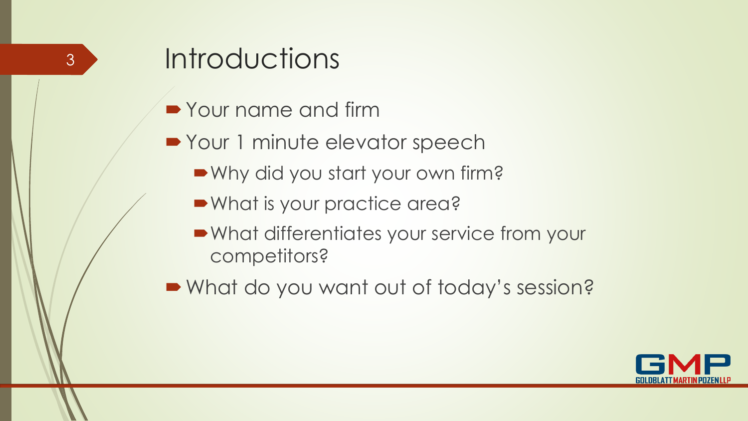# **Introductions**

- **Your name and firm**
- Your 1 minute elevator speech
	- Why did you start your own firm?
	- What is your practice area?
	- What differentiates your service from your competitors?
- What do you want out of today's session?

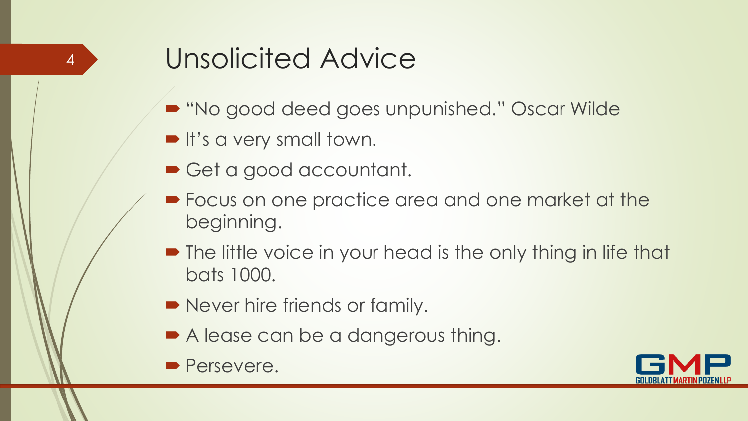# Unsolicited Advice

- "No good deed goes unpunished." Oscar Wilde
- It's a very small town.
- Get a good accountant.
- **Focus on one practice area and one market at the** beginning.
- The little voice in your head is the only thing in life that bats 1000.
- Never hire friends or family.
- A lease can be a dangerous thing.
- **Persevere.**

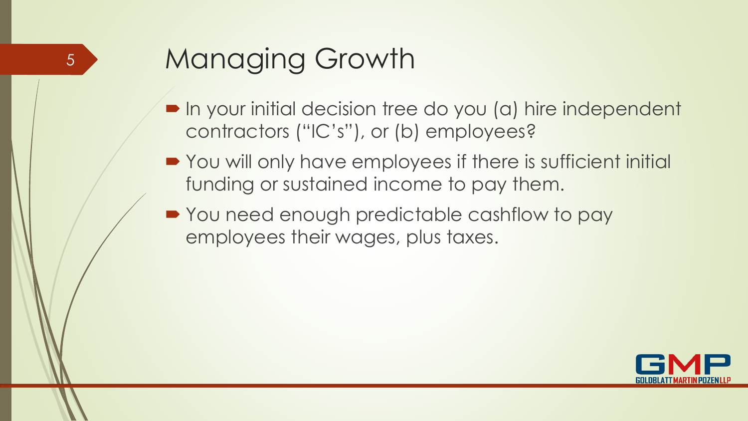# Managing Growth

- In your initial decision tree do you (a) hire independent contractors ("IC's"), or (b) employees?
- You will only have employees if there is sufficient initial funding or sustained income to pay them.
- You need enough predictable cashflow to pay employees their wages, plus taxes.

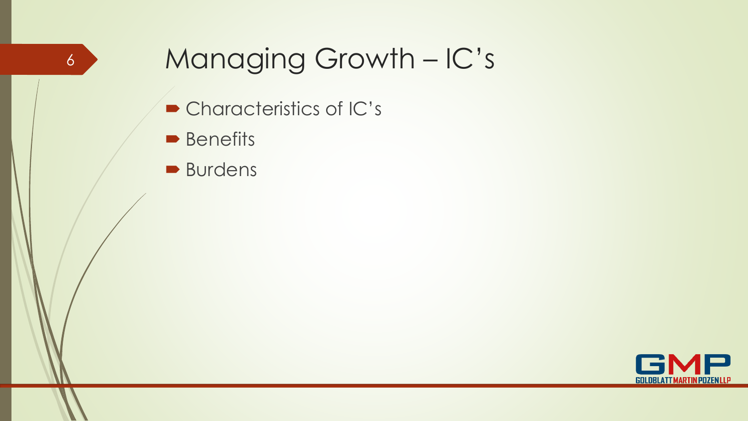#### Managing Growth – IC's

- Characteristics of IC's
- **Benefits**

6

**Burdens** 

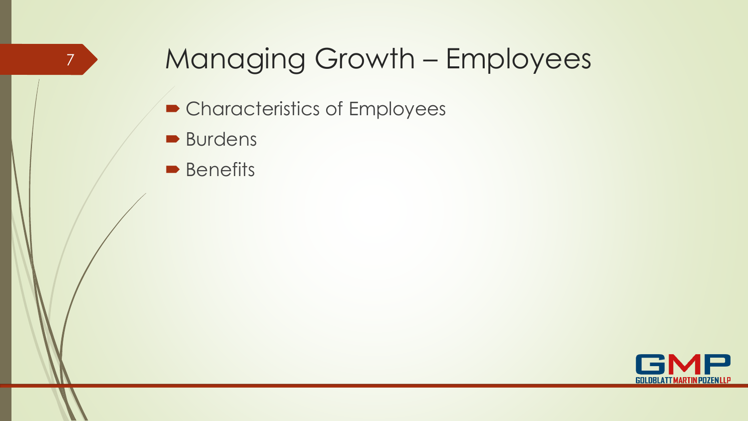## Managing Growth – Employees

- Characteristics of Employees
- **Burdens**

7

**Benefits** 

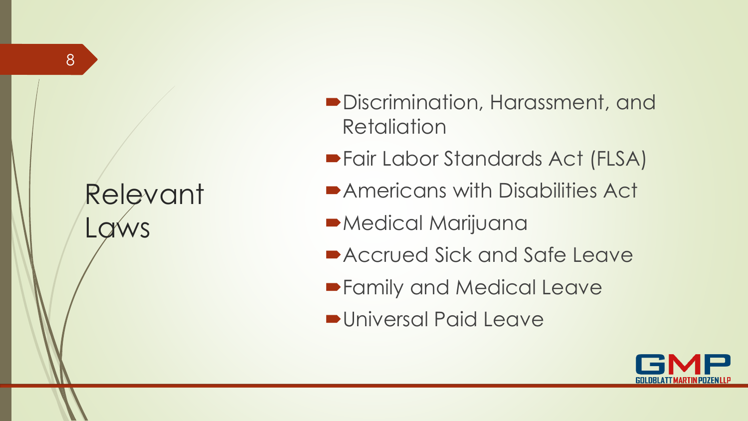# Relevant Laws

- Discrimination, Harassment, and **Retaliation**
- Fair Labor Standards Act (FLSA)
- Americans with Disabilities Act
- Medical Marijuana
- Accrued Sick and Safe Leave
- **Family and Medical Leave**
- Universal Paid Leave

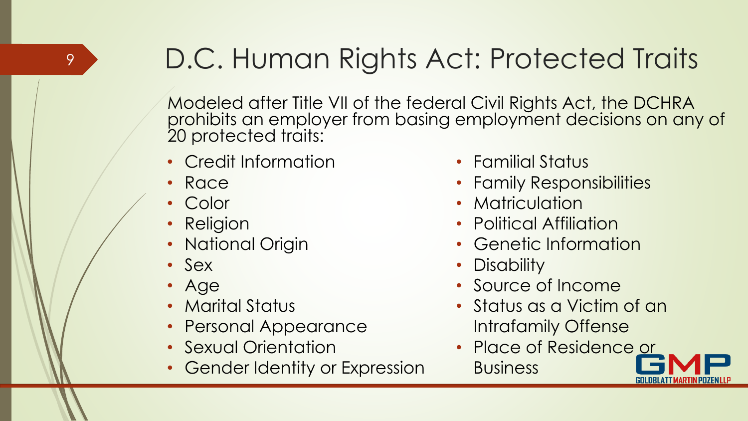# D.C. Human Rights Act: Protected Traits

Modeled after Title VII of the federal Civil Rights Act, the DCHRA prohibits an employer from basing employment decisions on any of 20 protected traits:

- Credit Information
- Race

- Color
- Religion
- National Origin
- Sex
- Age
- Marital Status
- Personal Appearance
- Sexual Orientation
- Gender Identity or Expression
- Familial Status
- Family Responsibilities
- Matriculation
- Political Affiliation
- Genetic Information
- Disability
- Source of Income
- Status as a Victim of an Intrafamily Offense
- Place of Residence or **Business**

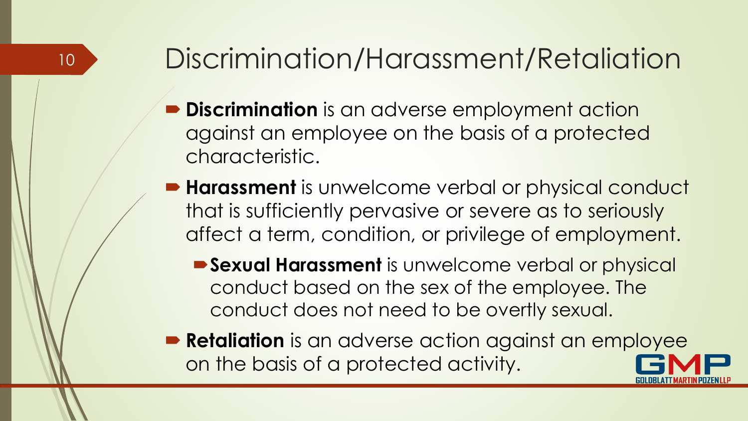# Discrimination/Harassment/Retaliation

- **Discrimination** is an adverse employment action against an employee on the basis of a protected characteristic.
- **Harassment** is unwelcome verbal or physical conduct that is sufficiently pervasive or severe as to seriously affect a term, condition, or privilege of employment.
	- **Sexual Harassment** is unwelcome verbal or physical conduct based on the sex of the employee. The conduct does not need to be overtly sexual.
- **Retaliation** is an adverse action against an employee on the basis of a protected activity.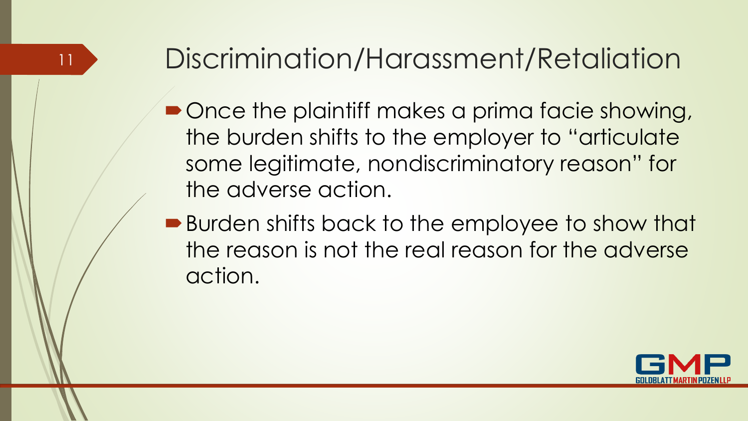# Discrimination/Harassment/Retaliation

- Once the plaintiff makes a prima facie showing, the burden shifts to the employer to "articulate some legitimate, nondiscriminatory reason" for the adverse action.
- Burden shifts back to the employee to show that the reason is not the real reason for the adverse action.

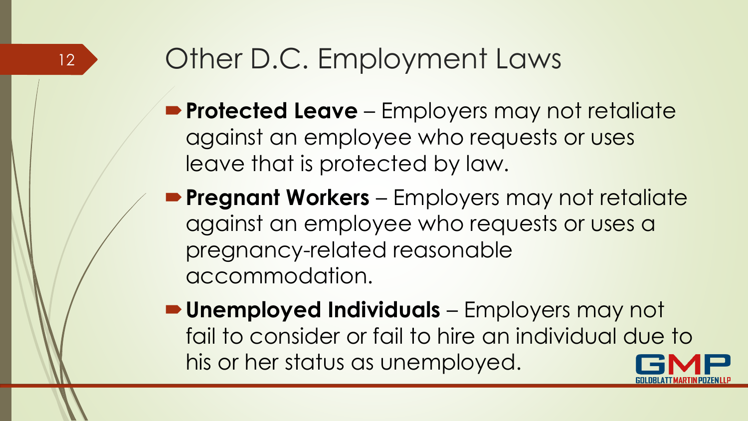# Other D.C. Employment Laws

- **Protected Leave** Employers may not retaliate against an employee who requests or uses leave that is protected by law.
- **Pregnant Workers**  Employers may not retaliate against an employee who requests or uses a pregnancy-related reasonable accommodation.
- **Unemployed Individuals**  Employers may not fail to consider or fail to hire an individual due to his or her status as unemployed.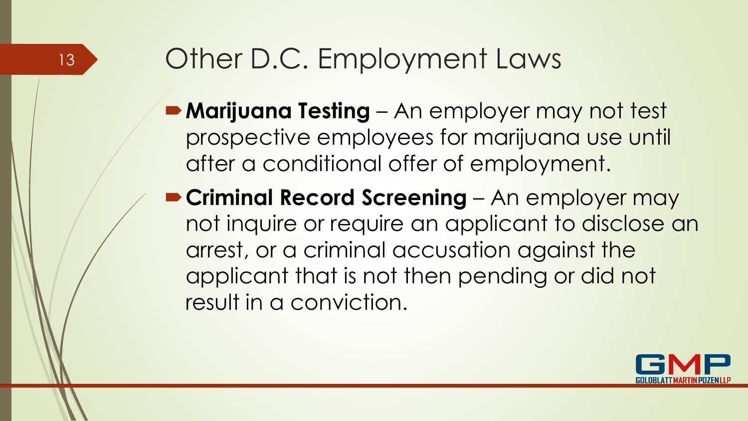# Other D.C. Employment Laws

- **Marijuana Testing**  An employer may not test prospective employees for marijuana use until after a conditional offer of employment.
- **Criminal Record Screening**  An employer may not inquire or require an applicant to disclose an arrest, or a criminal accusation against the applicant that is not then pending or did not result in a conviction.

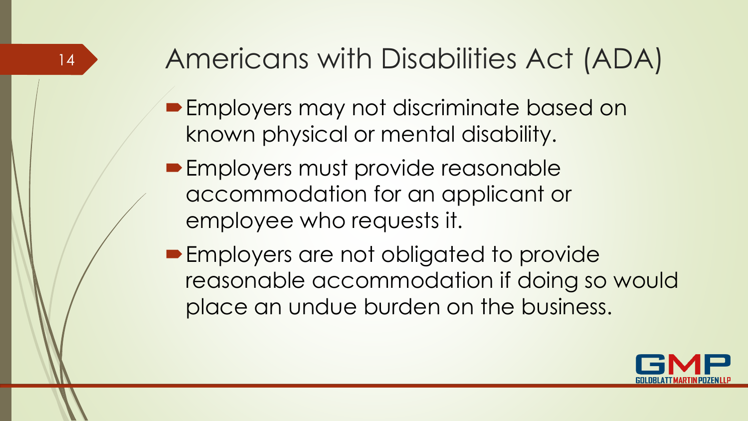# Americans with Disabilities Act (ADA)

- **Employers may not discriminate based on** known physical or mental disability.
- **Employers must provide reasonable** accommodation for an applicant or employee who requests it.

14

**Employers are not obligated to provide** reasonable accommodation if doing so would place an undue burden on the business.

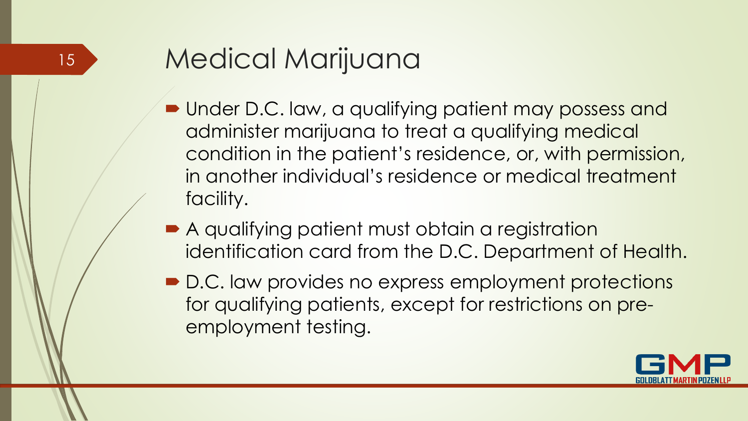#### 15

# Medical Marijuana

- **Under D.C. law, a qualifying patient may possess and** administer marijuana to treat a qualifying medical condition in the patient's residence, or, with permission, in another individual's residence or medical treatment facility.
- A qualifying patient must obtain a registration identification card from the D.C. Department of Health.
- **D.C. law provides no express employment protections** for qualifying patients, except for restrictions on preemployment testing.

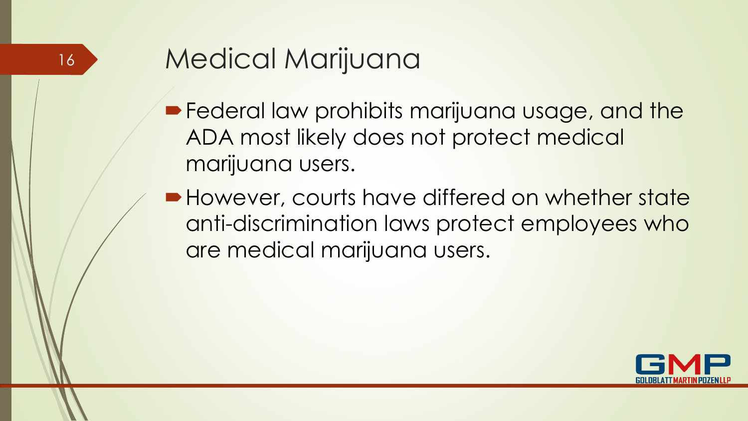# Medical Marijuana

- **Federal law prohibits marijuana usage, and the** ADA most likely does not protect medical marijuana users.
- However, courts have differed on whether state anti-discrimination laws protect employees who are medical marijuana users.

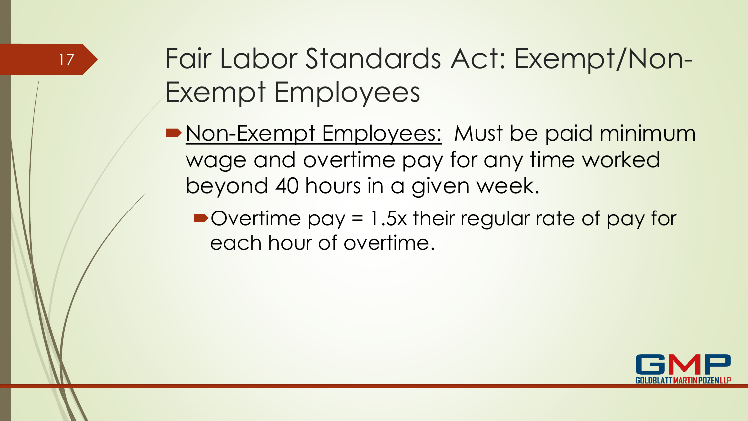# Fair Labor Standards Act: Exempt/Non-Exempt Employees

- **Non-Exempt Employees: Must be paid minimum** wage and overtime pay for any time worked beyond 40 hours in a given week.
	- Overtime pay = 1.5x their regular rate of pay for each hour of overtime.

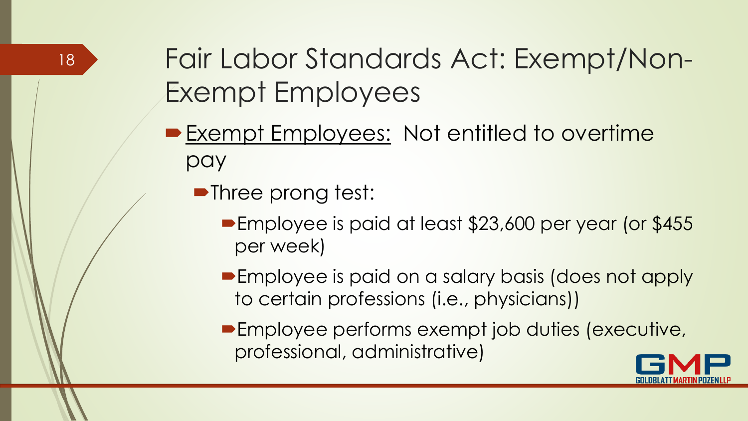# Fair Labor Standards Act: Exempt/Non-Exempt Employees

- **Exempt Employees: Not entitled to overtime** pay
	- **•Three prong test:** 
		- **Employee is paid at least \$23,600 per year (or \$455** per week)
		- **Employee is paid on a salary basis (does not apply** to certain professions (i.e., physicians))
		- **Employee performs exempt job duties (executive,** professional, administrative)

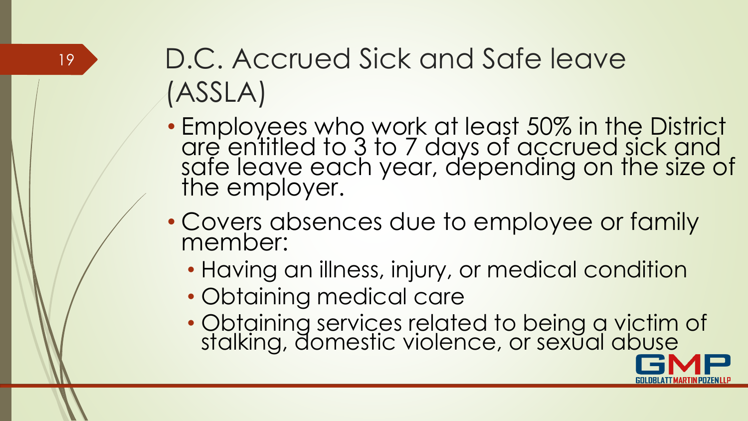# D.C. Accrued Sick and Safe leave (ASSLA)

- Employees who work at least 50% in the District are entitled to 3 to 7 days of accrued sick and safe leave each year, depending on the size of the employer.
- Covers absences due to employee or family member:
	- Having an illness, injury, or medical condition
	- Obtaining medical care

19

• Obtaining services related to being a victim of stalking, domestic violence, or sexual abuse

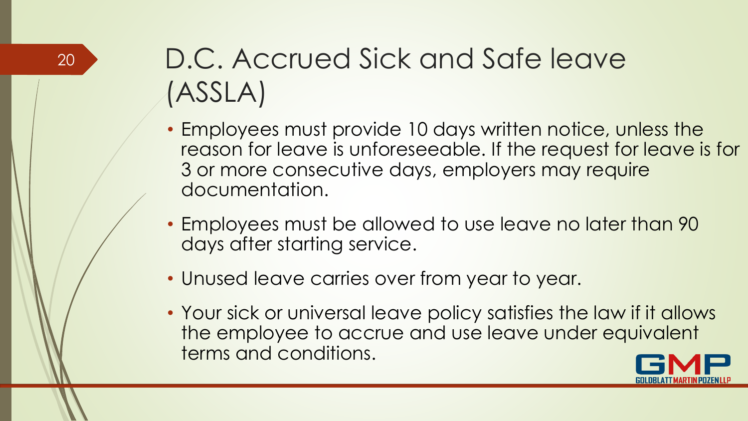# D.C. Accrued Sick and Safe leave (ASSLA)

- Employees must provide 10 days written notice, unless the reason for leave is unforeseeable. If the request for leave is for 3 or more consecutive days, employers may require documentation.
- Employees must be allowed to use leave no later than 90 days after starting service.
- Unused leave carries over from year to year.
- Your sick or universal leave policy satisfies the law if it allows the employee to accrue and use leave under equivalent terms and conditions.

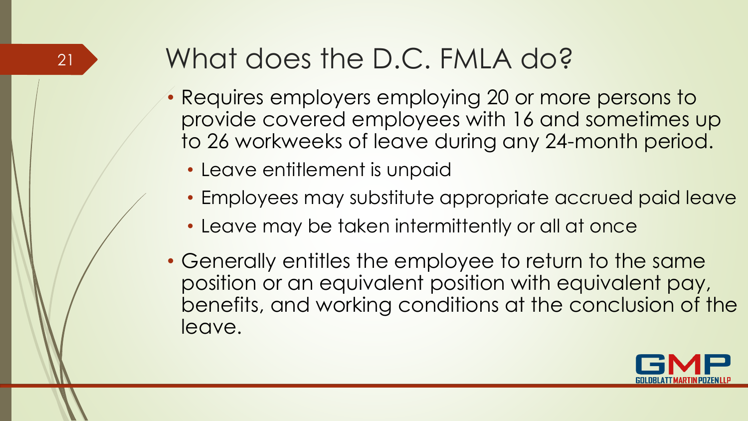# <sup>21</sup> What does the D.C. FMLA do?

- Requires employers employing 20 or more persons to provide covered employees with 16 and sometimes up to 26 workweeks of leave during any 24-month period.
	- Leave entitlement is unpaid
	- Employees may substitute appropriate accrued paid leave
	- Leave may be taken intermittently or all at once
- Generally entitles the employee to return to the same position or an equivalent position with equivalent pay, benefits, and working conditions at the conclusion of the leave.

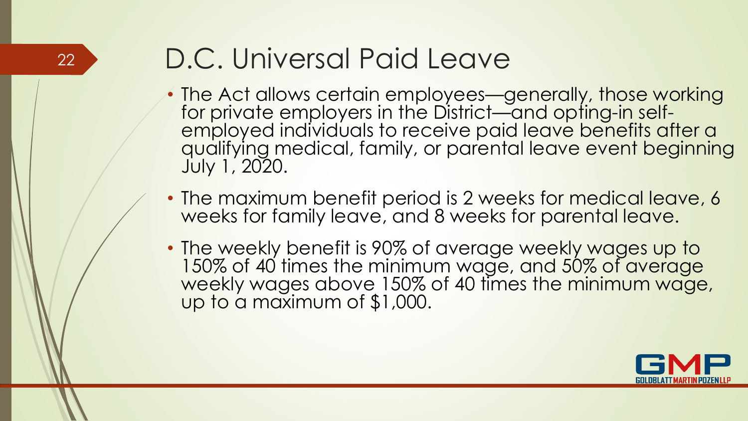# <sup>22</sup> D.C. Universal Paid Leave

- The Act allows certain employees—generally, those working for private employers in the District—and opting-in selfemployed individuals to receive paid leave benefits after a qualifying medical, family, or parental leave event beginning July 1, 2020.
- The maximum benefit period is 2 weeks for medical leave, 6 weeks for family leave, and 8 weeks for parental leave.
- The weekly benefit is 90% of average weekly wages up to 150% of 40 times the minimum wage, and 50% of average weekly wages above 150% of 40 times the minimum wage, up to a maximum of \$1,000.

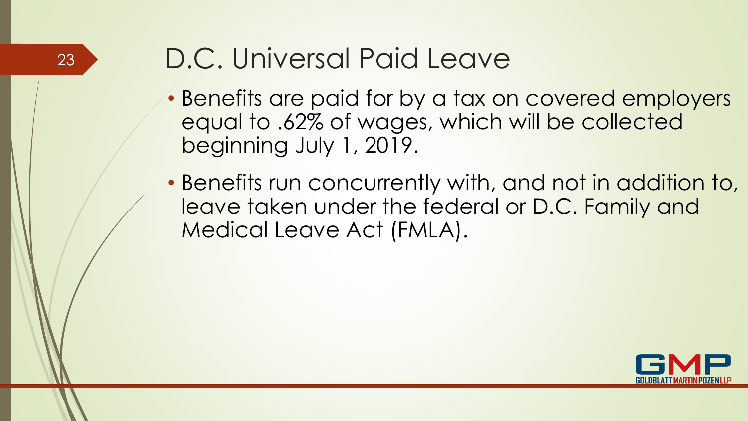

# <sup>23</sup> D.C. Universal Paid Leave

- Benefits are paid for by a tax on covered employers equal to .62% of wages, which will be collected beginning July 1, 2019.
- Benefits run concurrently with, and not in addition to, leave taken under the federal or D.C. Family and Medical Leave Act (FMLA).

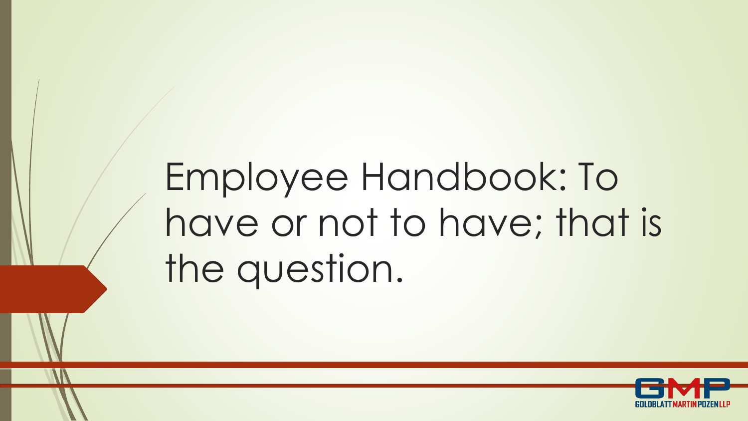# Employee Handbook: To have or not to have; that is the question.

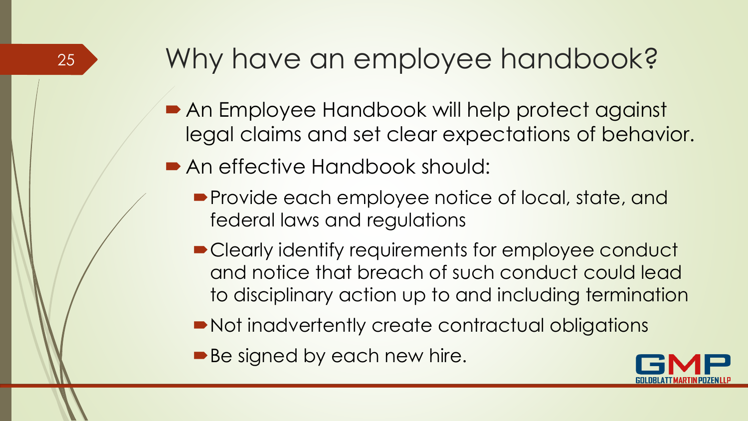#### Why have an employee handbook?

- An Employee Handbook will help protect against legal claims and set clear expectations of behavior.
- An effective Handbook should:

- **Provide each employee notice of local, state, and** federal laws and regulations
- Clearly identify requirements for employee conduct and notice that breach of such conduct could lead to disciplinary action up to and including termination
- Not inadvertently create contractual obligations
- Be signed by each new hire.

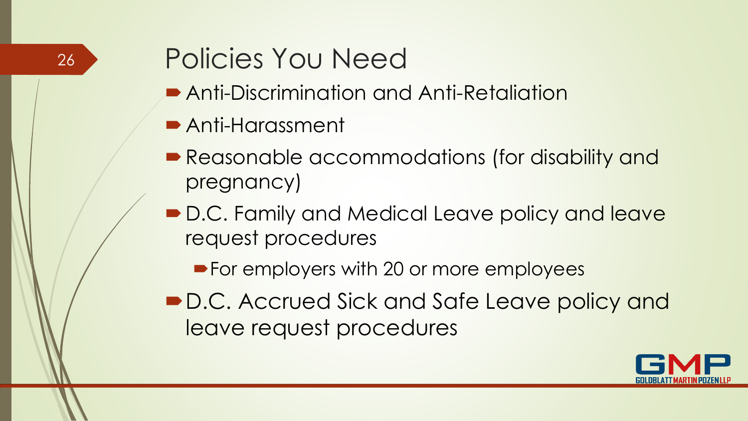#### Policies You Need

- Anti-Discrimination and Anti-Retaliation
- Anti-Harassment

- **Reasonable accommodations (for disability and** pregnancy)
- D.C. Family and Medical Leave policy and leave request procedures
	- **For employers with 20 or more employees**
- D.C. Accrued Sick and Safe Leave policy and leave request procedures

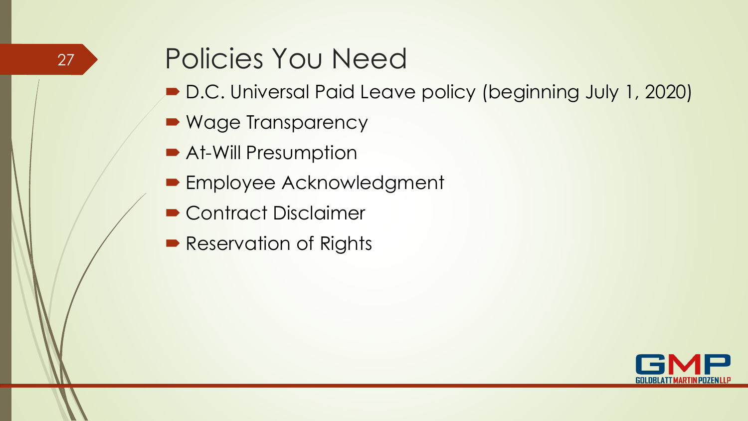#### Policies You Need

- D.C. Universal Paid Leave policy (beginning July 1, 2020)
- Wage Transparency

- **At-Will Presumption**
- **Employee Acknowledgment**
- Contract Disclaimer
- Reservation of Rights

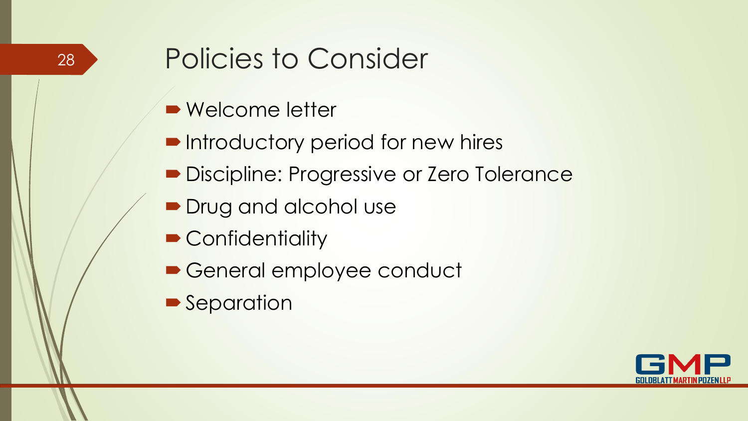# Policies to Consider

- Welcome letter
- **Introductory period for new hires**
- Discipline: Progressive or Zero Tolerance
- **Drug and alcohol use**
- Confidentiality
- General employee conduct
- **Separation**

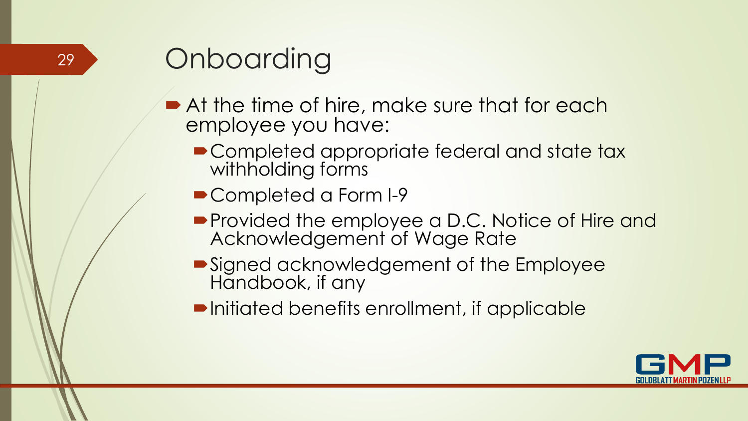# **Onboarding**

- At the time of hire, make sure that for each employee you have:
	- Completed appropriate federal and state tax withholding forms
	- Completed a Form I-9
	- **Provided the employee a D.C. Notice of Hire and** Acknowledgement of Wage Rate
	- Signed acknowledgement of the Employee Handbook, if any
	- **Initiated benefits enrollment, if applicable**

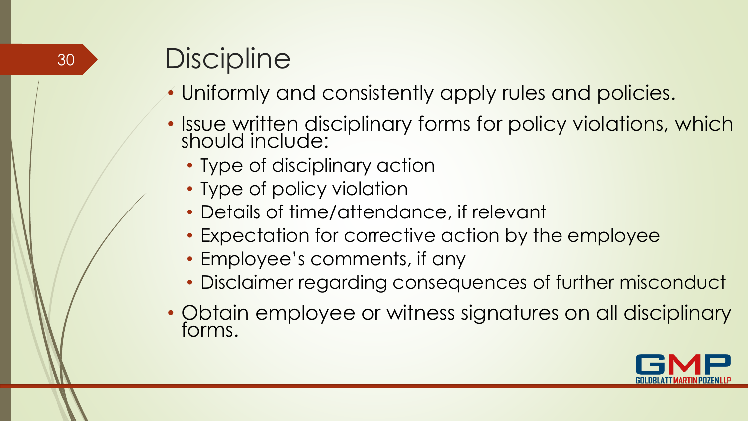# <sup>30</sup> Discipline

- Uniformly and consistently apply rules and policies.
- Issue written disciplinary forms for policy violations, which should include:
	- Type of disciplinary action
	- Type of policy violation
	- Details of time/attendance, if relevant
	- Expectation for corrective action by the employee
	- Employee's comments, if any
	- Disclaimer regarding consequences of further misconduct
- Obtain employee or witness signatures on all disciplinary forms.

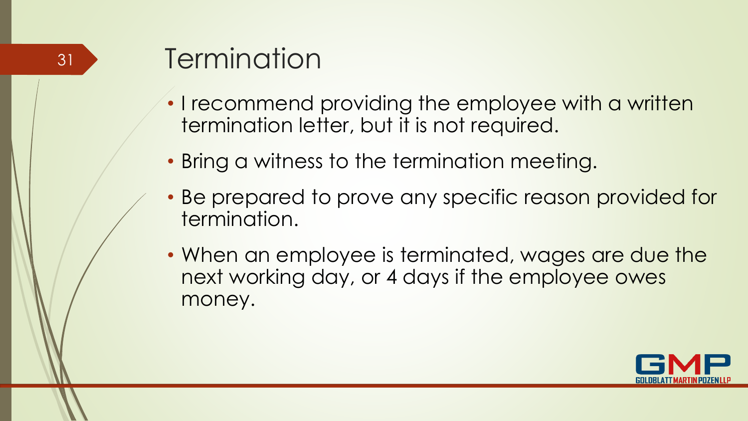# 31 **Jermination**

- I recommend providing the employee with a written termination letter, but it is not required.
- Bring a witness to the termination meeting.
- Be prepared to prove any specific reason provided for termination.
- When an employee is terminated, wages are due the next working day, or 4 days if the employee owes money.

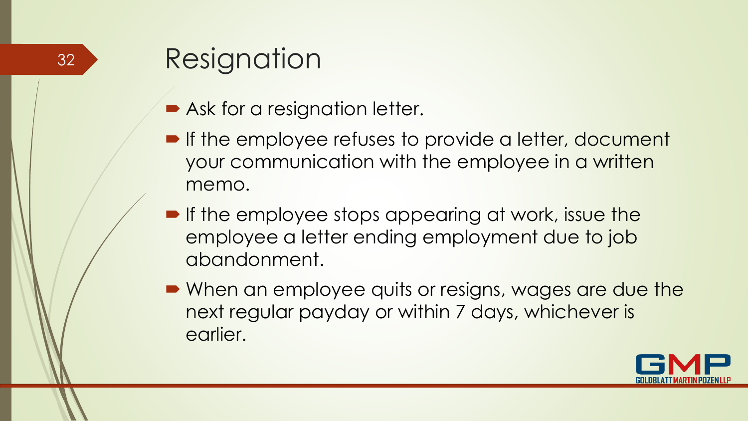# Resignation

- Ask for a resignation letter.
- **If the employee refuses to provide a letter, document** your communication with the employee in a written memo.
- **If the employee stops appearing at work, issue the** employee a letter ending employment due to job abandonment.
- When an employee quits or resigns, wages are due the next regular payday or within 7 days, whichever is earlier.

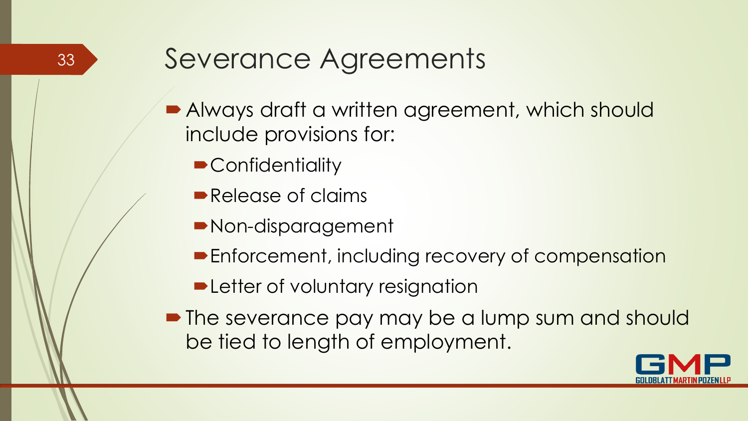#### Severance Agreements

- Always draft a written agreement, which should include provisions for:
	- **Confidentiality**
	- Release of claims
	- Non-disparagement
	- **Enforcement, including recovery of compensation**
	- **Detter of voluntary resignation**
- The severance pay may be a lump sum and should be tied to length of employment.